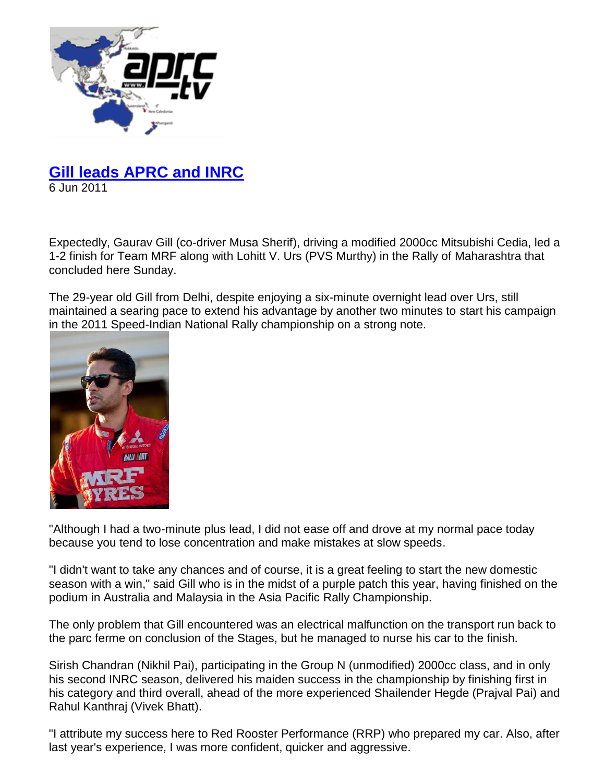

## **Gill leads APRC and INRC**

6 Jun 2011

Expectedly, Gaurav Gill (co-driver Musa Sherif), driving a modified 2000cc Mitsubishi Cedia, led a 1-2 finish for Team MRF along with Lohitt V. Urs (PVS Murthy) in the Rally of Maharashtra that concluded here Sunday.

The 29-year old Gill from Delhi, despite enjoying a six-minute overnight lead over Urs, still maintained a searing pace to extend his advantage by another two minutes to start his campaign in the 2011 Speed-Indian National Rally championship on a strong note.



"Although I had a two-minute plus lead, I did not ease off and drove at my normal pace today because you tend to lose concentration and make mistakes at slow speeds.

"I didn't want to take any chances and of course, it is a great feeling to start the new domestic season with a win," said Gill who is in the midst of a purple patch this year, having finished on the podium in Australia and Malaysia in the Asia Pacific Rally Championship.

The only problem that Gill encountered was an electrical malfunction on the transport run back to the parc ferme on conclusion of the Stages, but he managed to nurse his car to the finish.

Sirish Chandran (Nikhil Pai), participating in the Group N (unmodified) 2000cc class, and in only his second INRC season, delivered his maiden success in the championship by finishing first in his category and third overall, ahead of the more experienced Shailender Hegde (Prajval Pai) and Rahul Kanthraj (Vivek Bhatt).

"I attribute my success here to Red Rooster Performance (RRP) who prepared my car. Also, after last year's experience, I was more confident, quicker and aggressive.